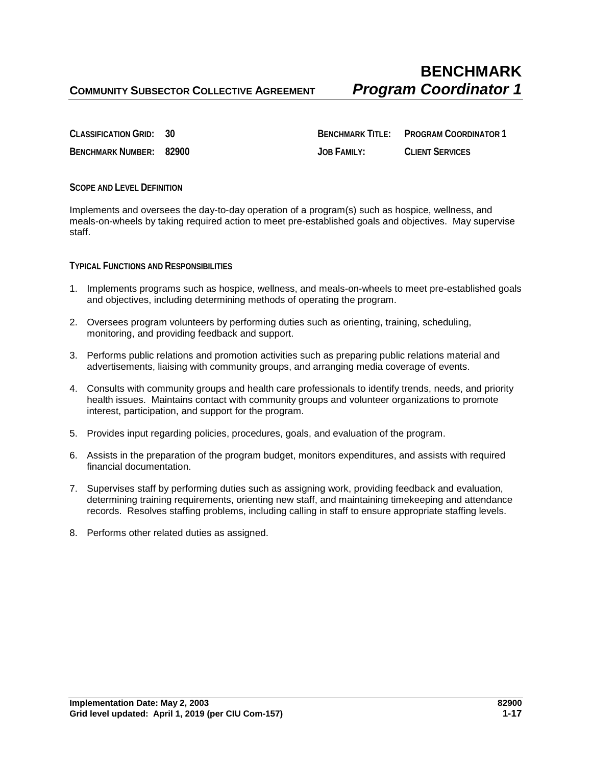**CLASSIFICATION GRID: 30 BENCHMARK TITLE: PROGRAM COORDINATOR 1 BENCHMARK NUMBER: 82900 JOB FAMILY: CLIENT SERVICES**

## **SCOPE AND LEVEL DEFINITION**

Implements and oversees the day-to-day operation of a program(s) such as hospice, wellness, and meals-on-wheels by taking required action to meet pre-established goals and objectives. May supervise staff.

## **TYPICAL FUNCTIONS AND RESPONSIBILITIES**

- 1. Implements programs such as hospice, wellness, and meals-on-wheels to meet pre-established goals and objectives, including determining methods of operating the program.
- 2. Oversees program volunteers by performing duties such as orienting, training, scheduling, monitoring, and providing feedback and support.
- 3. Performs public relations and promotion activities such as preparing public relations material and advertisements, liaising with community groups, and arranging media coverage of events.
- 4. Consults with community groups and health care professionals to identify trends, needs, and priority health issues. Maintains contact with community groups and volunteer organizations to promote interest, participation, and support for the program.
- 5. Provides input regarding policies, procedures, goals, and evaluation of the program.
- 6. Assists in the preparation of the program budget, monitors expenditures, and assists with required financial documentation.
- 7. Supervises staff by performing duties such as assigning work, providing feedback and evaluation, determining training requirements, orienting new staff, and maintaining timekeeping and attendance records. Resolves staffing problems, including calling in staff to ensure appropriate staffing levels.
- 8. Performs other related duties as assigned.